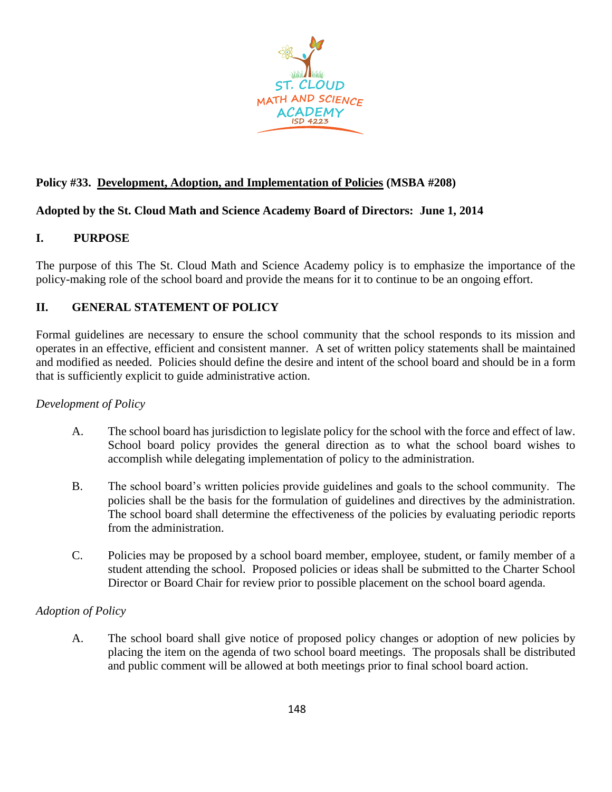

### **Policy #33. Development, Adoption, and Implementation of Policies (MSBA #208)**

### **Adopted by the St. Cloud Math and Science Academy Board of Directors: June 1, 2014**

## **I. PURPOSE**

The purpose of this The St. Cloud Math and Science Academy policy is to emphasize the importance of the policy-making role of the school board and provide the means for it to continue to be an ongoing effort.

# **II. GENERAL STATEMENT OF POLICY**

Formal guidelines are necessary to ensure the school community that the school responds to its mission and operates in an effective, efficient and consistent manner. A set of written policy statements shall be maintained and modified as needed. Policies should define the desire and intent of the school board and should be in a form that is sufficiently explicit to guide administrative action.

### *Development of Policy*

- A. The school board has jurisdiction to legislate policy for the school with the force and effect of law. School board policy provides the general direction as to what the school board wishes to accomplish while delegating implementation of policy to the administration.
- B. The school board's written policies provide guidelines and goals to the school community. The policies shall be the basis for the formulation of guidelines and directives by the administration. The school board shall determine the effectiveness of the policies by evaluating periodic reports from the administration.
- C. Policies may be proposed by a school board member, employee, student, or family member of a student attending the school. Proposed policies or ideas shall be submitted to the Charter School Director or Board Chair for review prior to possible placement on the school board agenda.

### *Adoption of Policy*

A. The school board shall give notice of proposed policy changes or adoption of new policies by placing the item on the agenda of two school board meetings. The proposals shall be distributed and public comment will be allowed at both meetings prior to final school board action.